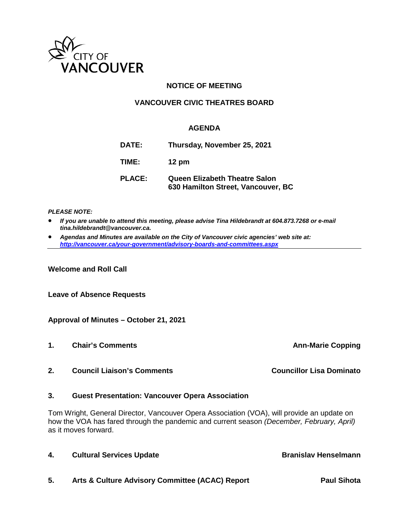

# **NOTICE OF MEETING**

## **VANCOUVER CIVIC THEATRES BOARD**

## **AGENDA**

| DATE:         | Thursday, November 25, 2021                                                |
|---------------|----------------------------------------------------------------------------|
| TIME:         | $12 \text{ pm}$                                                            |
| <b>PLACE:</b> | <b>Queen Elizabeth Theatre Salon</b><br>630 Hamilton Street, Vancouver, BC |

#### *PLEASE NOTE:*

- *If you are unable to attend this meeting, please advise Tina Hildebrandt at 604.873.7268 or e-mail tina.hildebrandt@vancouver.ca.*
- *Agendas and Minutes are available on the City of Vancouver civic agencies' web site at: <http://vancouver.ca/your-government/advisory-boards-and-committees.aspx>*

**Welcome and Roll Call**

**Leave of Absence Requests**

### **Approval of Minutes – October 21, 2021**

- **1.** Chair's Comments **Ann-Marie Copping**
- **2. Council Liaison's Comments Councillor Lisa Dominato**

### **3. Guest Presentation: Vancouver Opera Association**

Tom Wright, General Director, Vancouver Opera Association (VOA), will provide an update on how the VOA has fared through the pandemic and current season *(December, February, April)* as it moves forward.

| 4. | <b>Cultural Services Update</b>                 | <b>Branislav Henselmann</b> |
|----|-------------------------------------------------|-----------------------------|
| 5. | Arts & Culture Advisory Committee (ACAC) Report | <b>Paul Sihota</b>          |